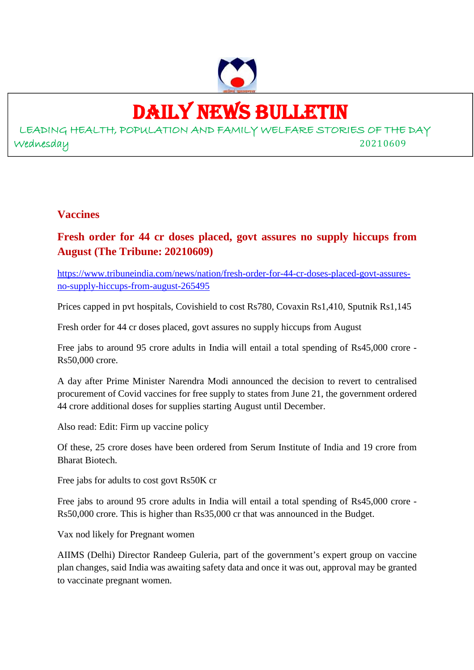

## DAILY NEWS BULLETIN

LEADING HEALTH, POPULATION AND FAMILY WELFARE STORIES OF THE DAY Wednesday 20210609

#### **Vaccines**

**Fresh order for 44 cr doses placed, govt assures no supply hiccups from August (The Tribune: 20210609)**

https://www.tribuneindia.com/news/nation/fresh-order-for-44-cr-doses-placed-govt-assuresno-supply-hiccups-from-august-265495

Prices capped in pvt hospitals, Covishield to cost Rs780, Covaxin Rs1,410, Sputnik Rs1,145

Fresh order for 44 cr doses placed, govt assures no supply hiccups from August

Free jabs to around 95 crore adults in India will entail a total spending of Rs45,000 crore - Rs50,000 crore.

A day after Prime Minister Narendra Modi announced the decision to revert to centralised procurement of Covid vaccines for free supply to states from June 21, the government ordered 44 crore additional doses for supplies starting August until December.

Also read: Edit: Firm up vaccine policy

Of these, 25 crore doses have been ordered from Serum Institute of India and 19 crore from Bharat Biotech.

Free jabs for adults to cost govt Rs50K cr

Free jabs to around 95 crore adults in India will entail a total spending of Rs45,000 crore - Rs50,000 crore. This is higher than Rs35,000 cr that was announced in the Budget.

Vax nod likely for Pregnant women

AIIMS (Delhi) Director Randeep Guleria, part of the government's expert group on vaccine plan changes, said India was awaiting safety data and once it was out, approval may be granted to vaccinate pregnant women.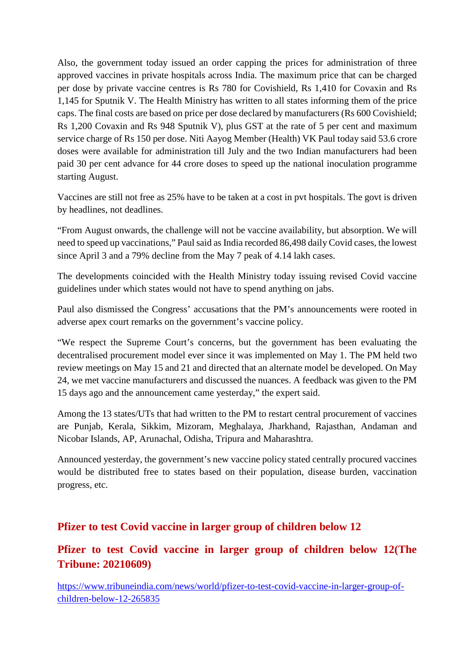Also, the government today issued an order capping the prices for administration of three approved vaccines in private hospitals across India. The maximum price that can be charged per dose by private vaccine centres is Rs 780 for Covishield, Rs 1,410 for Covaxin and Rs 1,145 for Sputnik V. The Health Ministry has written to all states informing them of the price caps. The final costs are based on price per dose declared by manufacturers (Rs 600 Covishield; Rs 1,200 Covaxin and Rs 948 Sputnik V), plus GST at the rate of 5 per cent and maximum service charge of Rs 150 per dose. Niti Aayog Member (Health) VK Paul today said 53.6 crore doses were available for administration till July and the two Indian manufacturers had been paid 30 per cent advance for 44 crore doses to speed up the national inoculation programme starting August.

Vaccines are still not free as 25% have to be taken at a cost in pvt hospitals. The govt is driven by headlines, not deadlines.

"From August onwards, the challenge will not be vaccine availability, but absorption. We will need to speed up vaccinations," Paul said as India recorded 86,498 daily Covid cases, the lowest since April 3 and a 79% decline from the May 7 peak of 4.14 lakh cases.

The developments coincided with the Health Ministry today issuing revised Covid vaccine guidelines under which states would not have to spend anything on jabs.

Paul also dismissed the Congress' accusations that the PM's announcements were rooted in adverse apex court remarks on the government's vaccine policy.

"We respect the Supreme Court's concerns, but the government has been evaluating the decentralised procurement model ever since it was implemented on May 1. The PM held two review meetings on May 15 and 21 and directed that an alternate model be developed. On May 24, we met vaccine manufacturers and discussed the nuances. A feedback was given to the PM 15 days ago and the announcement came yesterday," the expert said.

Among the 13 states/UTs that had written to the PM to restart central procurement of vaccines are Punjab, Kerala, Sikkim, Mizoram, Meghalaya, Jharkhand, Rajasthan, Andaman and Nicobar Islands, AP, Arunachal, Odisha, Tripura and Maharashtra.

Announced yesterday, the government's new vaccine policy stated centrally procured vaccines would be distributed free to states based on their population, disease burden, vaccination progress, etc.

#### **Pfizer to test Covid vaccine in larger group of children below 12**

## **Pfizer to test Covid vaccine in larger group of children below 12(The Tribune: 20210609)**

https://www.tribuneindia.com/news/world/pfizer-to-test-covid-vaccine-in-larger-group-ofchildren-below-12-265835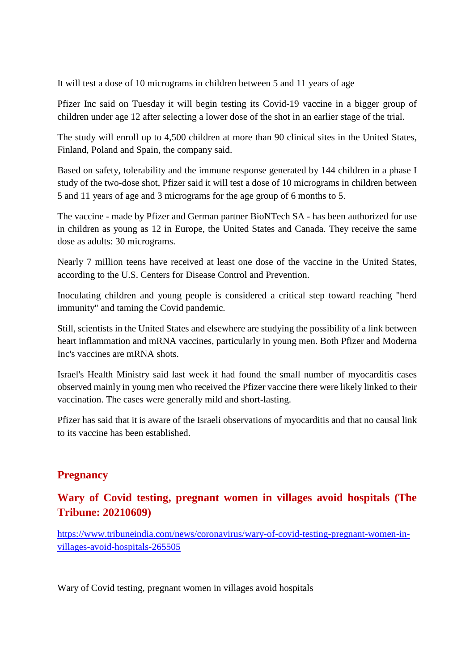It will test a dose of 10 micrograms in children between 5 and 11 years of age

Pfizer Inc said on Tuesday it will begin testing its Covid-19 vaccine in a bigger group of children under age 12 after selecting a lower dose of the shot in an earlier stage of the trial.

The study will enroll up to 4,500 children at more than 90 clinical sites in the United States, Finland, Poland and Spain, the company said.

Based on safety, tolerability and the immune response generated by 144 children in a phase I study of the two-dose shot, Pfizer said it will test a dose of 10 micrograms in children between 5 and 11 years of age and 3 micrograms for the age group of 6 months to 5.

The vaccine - made by Pfizer and German partner BioNTech SA - has been authorized for use in children as young as 12 in Europe, the United States and Canada. They receive the same dose as adults: 30 micrograms.

Nearly 7 million teens have received at least one dose of the vaccine in the United States, according to the U.S. Centers for Disease Control and Prevention.

Inoculating children and young people is considered a critical step toward reaching "herd immunity" and taming the Covid pandemic.

Still, scientists in the United States and elsewhere are studying the possibility of a link between heart inflammation and mRNA vaccines, particularly in young men. Both Pfizer and Moderna Inc's vaccines are mRNA shots.

Israel's Health Ministry said last week it had found the small number of myocarditis cases observed mainly in young men who received the Pfizer vaccine there were likely linked to their vaccination. The cases were generally mild and short-lasting.

Pfizer has said that it is aware of the Israeli observations of myocarditis and that no causal link to its vaccine has been established.

#### **Pregnancy**

### **Wary of Covid testing, pregnant women in villages avoid hospitals (The Tribune: 20210609)**

https://www.tribuneindia.com/news/coronavirus/wary-of-covid-testing-pregnant-women-invillages-avoid-hospitals-265505

Wary of Covid testing, pregnant women in villages avoid hospitals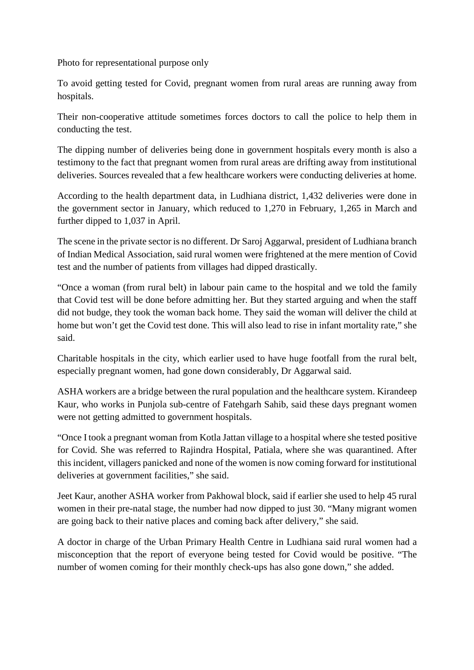Photo for representational purpose only

To avoid getting tested for Covid, pregnant women from rural areas are running away from hospitals.

Their non-cooperative attitude sometimes forces doctors to call the police to help them in conducting the test.

The dipping number of deliveries being done in government hospitals every month is also a testimony to the fact that pregnant women from rural areas are drifting away from institutional deliveries. Sources revealed that a few healthcare workers were conducting deliveries at home.

According to the health department data, in Ludhiana district, 1,432 deliveries were done in the government sector in January, which reduced to 1,270 in February, 1,265 in March and further dipped to 1,037 in April.

The scene in the private sector is no different. Dr Saroj Aggarwal, president of Ludhiana branch of Indian Medical Association, said rural women were frightened at the mere mention of Covid test and the number of patients from villages had dipped drastically.

"Once a woman (from rural belt) in labour pain came to the hospital and we told the family that Covid test will be done before admitting her. But they started arguing and when the staff did not budge, they took the woman back home. They said the woman will deliver the child at home but won't get the Covid test done. This will also lead to rise in infant mortality rate," she said.

Charitable hospitals in the city, which earlier used to have huge footfall from the rural belt, especially pregnant women, had gone down considerably, Dr Aggarwal said.

ASHA workers are a bridge between the rural population and the healthcare system. Kirandeep Kaur, who works in Punjola sub-centre of Fatehgarh Sahib, said these days pregnant women were not getting admitted to government hospitals.

"Once I took a pregnant woman from Kotla Jattan village to a hospital where she tested positive for Covid. She was referred to Rajindra Hospital, Patiala, where she was quarantined. After this incident, villagers panicked and none of the women is now coming forward for institutional deliveries at government facilities," she said.

Jeet Kaur, another ASHA worker from Pakhowal block, said if earlier she used to help 45 rural women in their pre-natal stage, the number had now dipped to just 30. "Many migrant women are going back to their native places and coming back after delivery," she said.

A doctor in charge of the Urban Primary Health Centre in Ludhiana said rural women had a misconception that the report of everyone being tested for Covid would be positive. "The number of women coming for their monthly check-ups has also gone down," she added.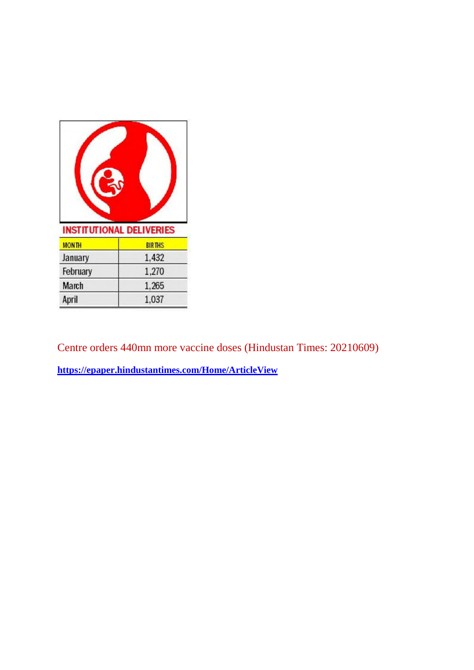

Centre orders 440mn more vaccine doses (Hindustan Times: 20210609)

**https://epaper.hindustantimes.com/Home/ArticleView**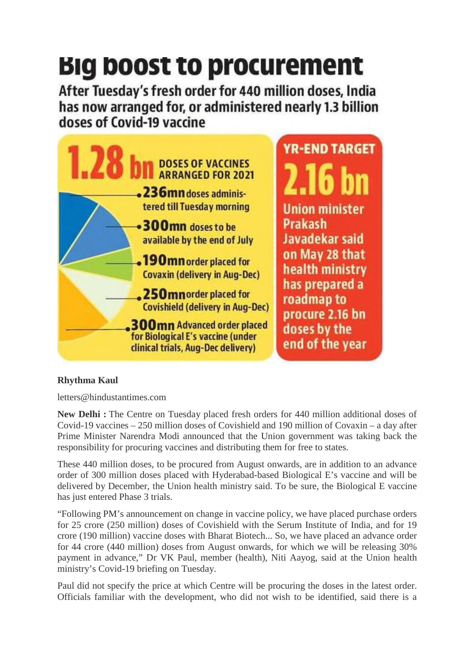## Big boost to procurement

After Tuesday's fresh order for 440 million doses, India has now arranged for, or administered nearly 1.3 billion doses of Covid-19 vaccine



#### **Rhythma Kaul**

letters@hindustantimes.com

**New Delhi :** The Centre on Tuesday placed fresh orders for 440 million additional doses of Covid-19 vaccines – 250 million doses of Covishield and 190 million of Covaxin – a day after Prime Minister Narendra Modi announced that the Union government was taking back the responsibility for procuring vaccines and distributing them for free to states.

These 440 million doses, to be procured from August onwards, are in addition to an advance order of 300 million doses placed with Hyderabad-based Biological E's vaccine and will be delivered by December, the Union health ministry said. To be sure, the Biological E vaccine has just entered Phase 3 trials.

"Following PM's announcement on change in vaccine policy, we have placed purchase orders for 25 crore (250 million) doses of Covishield with the Serum Institute of India, and for 19 crore (190 million) vaccine doses with Bharat Biotech... So, we have placed an advance order for 44 crore (440 million) doses from August onwards, for which we will be releasing 30% payment in advance," Dr VK Paul, member (health), Niti Aayog, said at the Union health ministry's Covid-19 briefing on Tuesday.

Paul did not specify the price at which Centre will be procuring the doses in the latest order. Officials familiar with the development, who did not wish to be identified, said there is a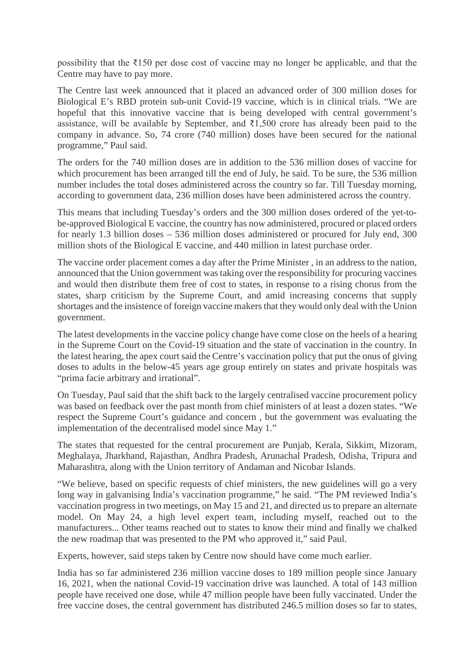possibility that the ₹150 per dose cost of vaccine may no longer be applicable, and that the Centre may have to pay more.

The Centre last week announced that it placed an advanced order of 300 million doses for Biological E's RBD protein sub-unit Covid-19 vaccine, which is in clinical trials. "We are hopeful that this innovative vaccine that is being developed with central government's assistance, will be available by September, and  $\bar{\tau}$ 1,500 crore has already been paid to the company in advance. So, 74 crore (740 million) doses have been secured for the national programme," Paul said.

The orders for the 740 million doses are in addition to the 536 million doses of vaccine for which procurement has been arranged till the end of July, he said. To be sure, the 536 million number includes the total doses administered across the country so far. Till Tuesday morning, according to government data, 236 million doses have been administered across the country.

This means that including Tuesday's orders and the 300 million doses ordered of the yet-tobe-approved Biological E vaccine, the country has now administered, procured or placed orders for nearly 1.3 billion doses – 536 million doses administered or procured for July end, 300 million shots of the Biological E vaccine, and 440 million in latest purchase order.

The vaccine order placement comes a day after the Prime Minister , in an address to the nation, announced that the Union government was taking over the responsibility for procuring vaccines and would then distribute them free of cost to states, in response to a rising chorus from the states, sharp criticism by the Supreme Court, and amid increasing concerns that supply shortages and the insistence of foreign vaccine makers that they would only deal with the Union government.

The latest developments in the vaccine policy change have come close on the heels of a hearing in the Supreme Court on the Covid-19 situation and the state of vaccination in the country. In the latest hearing, the apex court said the Centre's vaccination policy that put the onus of giving doses to adults in the below-45 years age group entirely on states and private hospitals was "prima facie arbitrary and irrational".

On Tuesday, Paul said that the shift back to the largely centralised vaccine procurement policy was based on feedback over the past month from chief ministers of at least a dozen states. "We respect the Supreme Court's guidance and concern , but the government was evaluating the implementation of the decentralised model since May 1."

The states that requested for the central procurement are Punjab, Kerala, Sikkim, Mizoram, Meghalaya, Jharkhand, Rajasthan, Andhra Pradesh, Arunachal Pradesh, Odisha, Tripura and Maharashtra, along with the Union territory of Andaman and Nicobar Islands.

"We believe, based on specific requests of chief ministers, the new guidelines will go a very long way in galvanising India's vaccination programme," he said. "The PM reviewed India's vaccination progress in two meetings, on May 15 and 21, and directed us to prepare an alternate model. On May 24, a high level expert team, including myself, reached out to the manufacturers... Other teams reached out to states to know their mind and finally we chalked the new roadmap that was presented to the PM who approved it," said Paul.

Experts, however, said steps taken by Centre now should have come much earlier.

India has so far administered 236 million vaccine doses to 189 million people since January 16, 2021, when the national Covid-19 vaccination drive was launched. A total of 143 million people have received one dose, while 47 million people have been fully vaccinated. Under the free vaccine doses, the central government has distributed 246.5 million doses so far to states,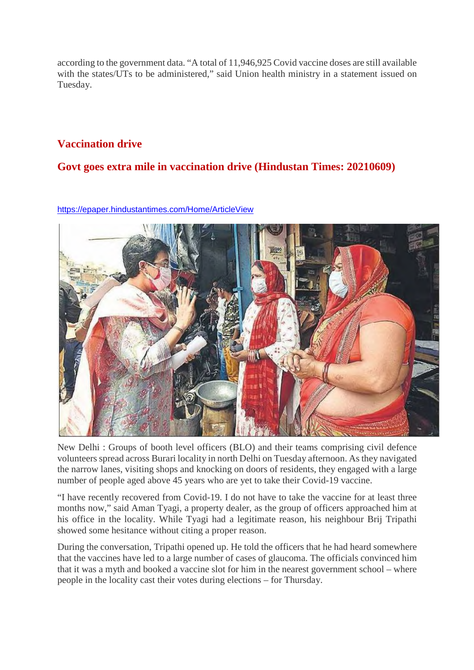according to the government data. "A total of 11,946,925 Covid vaccine doses are still available with the states/UTs to be administered," said Union health ministry in a statement issued on Tuesday.

### **Vaccination drive**

### **Govt goes extra mile in vaccination drive (Hindustan Times: 20210609)**



https://epaper.hindustantimes.com/Home/ArticleView

New Delhi : Groups of booth level officers (BLO) and their teams comprising civil defence volunteers spread across Burari locality in north Delhi on Tuesday afternoon. As they navigated the narrow lanes, visiting shops and knocking on doors of residents, they engaged with a large number of people aged above 45 years who are yet to take their Covid-19 vaccine.

"I have recently recovered from Covid-19. I do not have to take the vaccine for at least three months now," said Aman Tyagi, a property dealer, as the group of officers approached him at his office in the locality. While Tyagi had a legitimate reason, his neighbour Brij Tripathi showed some hesitance without citing a proper reason.

During the conversation, Tripathi opened up. He told the officers that he had heard somewhere that the vaccines have led to a large number of cases of glaucoma. The officials convinced him that it was a myth and booked a vaccine slot for him in the nearest government school – where people in the locality cast their votes during elections – for Thursday.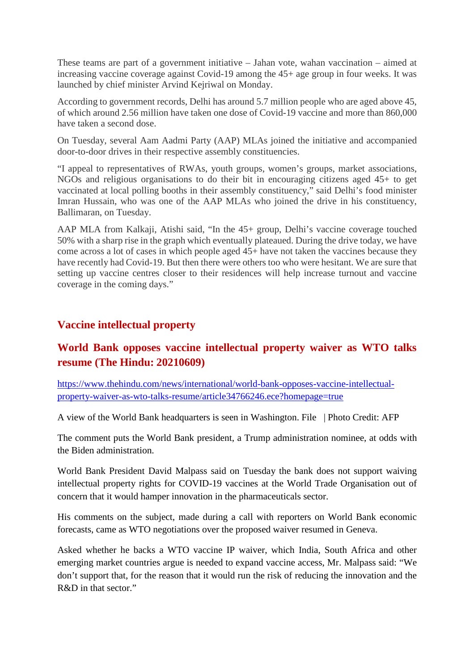These teams are part of a government initiative – Jahan vote, wahan vaccination – aimed at increasing vaccine coverage against Covid-19 among the 45+ age group in four weeks. It was launched by chief minister Arvind Kejriwal on Monday.

According to government records, Delhi has around 5.7 million people who are aged above 45, of which around 2.56 million have taken one dose of Covid-19 vaccine and more than 860,000 have taken a second dose.

On Tuesday, several Aam Aadmi Party (AAP) MLAs joined the initiative and accompanied door-to-door drives in their respective assembly constituencies.

"I appeal to representatives of RWAs, youth groups, women's groups, market associations, NGOs and religious organisations to do their bit in encouraging citizens aged 45+ to get vaccinated at local polling booths in their assembly constituency," said Delhi's food minister Imran Hussain, who was one of the AAP MLAs who joined the drive in his constituency, Ballimaran, on Tuesday.

AAP MLA from Kalkaji, Atishi said, "In the 45+ group, Delhi's vaccine coverage touched 50% with a sharp rise in the graph which eventually plateaued. During the drive today, we have come across a lot of cases in which people aged 45+ have not taken the vaccines because they have recently had Covid-19. But then there were others too who were hesitant. We are sure that setting up vaccine centres closer to their residences will help increase turnout and vaccine coverage in the coming days."

#### **Vaccine intellectual property**

## **World Bank opposes vaccine intellectual property waiver as WTO talks resume (The Hindu: 20210609)**

https://www.thehindu.com/news/international/world-bank-opposes-vaccine-intellectualproperty-waiver-as-wto-talks-resume/article34766246.ece?homepage=true

A view of the World Bank headquarters is seen in Washington. File | Photo Credit: AFP

The comment puts the World Bank president, a Trump administration nominee, at odds with the Biden administration.

World Bank President David Malpass said on Tuesday the bank does not support waiving intellectual property rights for COVID-19 vaccines at the World Trade Organisation out of concern that it would hamper innovation in the pharmaceuticals sector.

His comments on the subject, made during a call with reporters on World Bank economic forecasts, came as WTO negotiations over the proposed waiver resumed in Geneva.

Asked whether he backs a WTO vaccine IP waiver, which India, South Africa and other emerging market countries argue is needed to expand vaccine access, Mr. Malpass said: "We don't support that, for the reason that it would run the risk of reducing the innovation and the R&D in that sector."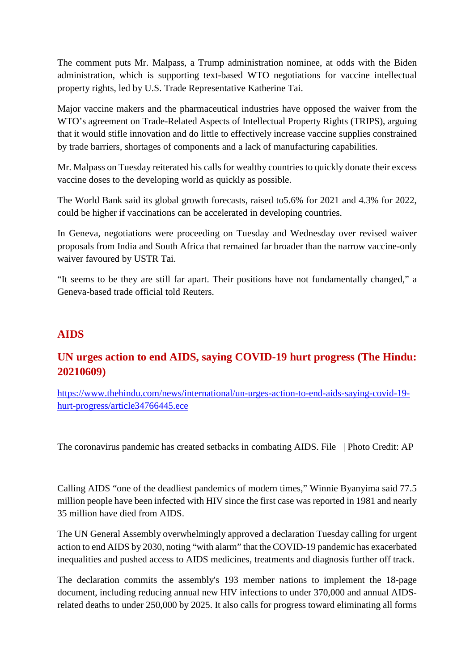The comment puts Mr. Malpass, a Trump administration nominee, at odds with the Biden administration, which is supporting text-based WTO negotiations for vaccine intellectual property rights, led by U.S. Trade Representative Katherine Tai.

Major vaccine makers and the pharmaceutical industries have opposed the waiver from the WTO's agreement on Trade-Related Aspects of Intellectual Property Rights (TRIPS), arguing that it would stifle innovation and do little to effectively increase vaccine supplies constrained by trade barriers, shortages of components and a lack of manufacturing capabilities.

Mr. Malpass on Tuesday reiterated his calls for wealthy countries to quickly donate their excess vaccine doses to the developing world as quickly as possible.

The World Bank said its global growth forecasts, raised to5.6% for 2021 and 4.3% for 2022, could be higher if vaccinations can be accelerated in developing countries.

In Geneva, negotiations were proceeding on Tuesday and Wednesday over revised waiver proposals from India and South Africa that remained far broader than the narrow vaccine-only waiver favoured by USTR Tai.

"It seems to be they are still far apart. Their positions have not fundamentally changed," a Geneva-based trade official told Reuters.

#### **AIDS**

## **UN urges action to end AIDS, saying COVID-19 hurt progress (The Hindu: 20210609)**

https://www.thehindu.com/news/international/un-urges-action-to-end-aids-saying-covid-19 hurt-progress/article34766445.ece

The coronavirus pandemic has created setbacks in combating AIDS. File | Photo Credit: AP

Calling AIDS "one of the deadliest pandemics of modern times," Winnie Byanyima said 77.5 million people have been infected with HIV since the first case was reported in 1981 and nearly 35 million have died from AIDS.

The UN General Assembly overwhelmingly approved a declaration Tuesday calling for urgent action to end AIDS by 2030, noting "with alarm" that the COVID-19 pandemic has exacerbated inequalities and pushed access to AIDS medicines, treatments and diagnosis further off track.

The declaration commits the assembly's 193 member nations to implement the 18-page document, including reducing annual new HIV infections to under 370,000 and annual AIDSrelated deaths to under 250,000 by 2025. It also calls for progress toward eliminating all forms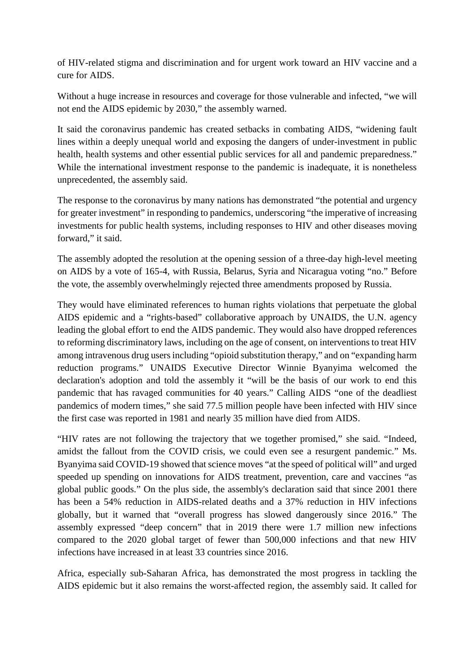of HIV-related stigma and discrimination and for urgent work toward an HIV vaccine and a cure for AIDS.

Without a huge increase in resources and coverage for those vulnerable and infected, "we will not end the AIDS epidemic by 2030," the assembly warned.

It said the coronavirus pandemic has created setbacks in combating AIDS, "widening fault lines within a deeply unequal world and exposing the dangers of under-investment in public health, health systems and other essential public services for all and pandemic preparedness." While the international investment response to the pandemic is inadequate, it is nonetheless unprecedented, the assembly said.

The response to the coronavirus by many nations has demonstrated "the potential and urgency for greater investment" in responding to pandemics, underscoring "the imperative of increasing investments for public health systems, including responses to HIV and other diseases moving forward," it said.

The assembly adopted the resolution at the opening session of a three-day high-level meeting on AIDS by a vote of 165-4, with Russia, Belarus, Syria and Nicaragua voting "no." Before the vote, the assembly overwhelmingly rejected three amendments proposed by Russia.

They would have eliminated references to human rights violations that perpetuate the global AIDS epidemic and a "rights-based" collaborative approach by UNAIDS, the U.N. agency leading the global effort to end the AIDS pandemic. They would also have dropped references to reforming discriminatory laws, including on the age of consent, on interventions to treat HIV among intravenous drug users including "opioid substitution therapy," and on "expanding harm reduction programs." UNAIDS Executive Director Winnie Byanyima welcomed the declaration's adoption and told the assembly it "will be the basis of our work to end this pandemic that has ravaged communities for 40 years." Calling AIDS "one of the deadliest pandemics of modern times," she said 77.5 million people have been infected with HIV since the first case was reported in 1981 and nearly 35 million have died from AIDS.

"HIV rates are not following the trajectory that we together promised," she said. "Indeed, amidst the fallout from the COVID crisis, we could even see a resurgent pandemic." Ms. Byanyima said COVID-19 showed that science moves "at the speed of political will" and urged speeded up spending on innovations for AIDS treatment, prevention, care and vaccines "as global public goods." On the plus side, the assembly's declaration said that since 2001 there has been a 54% reduction in AIDS-related deaths and a 37% reduction in HIV infections globally, but it warned that "overall progress has slowed dangerously since 2016." The assembly expressed "deep concern" that in 2019 there were 1.7 million new infections compared to the 2020 global target of fewer than 500,000 infections and that new HIV infections have increased in at least 33 countries since 2016.

Africa, especially sub-Saharan Africa, has demonstrated the most progress in tackling the AIDS epidemic but it also remains the worst-affected region, the assembly said. It called for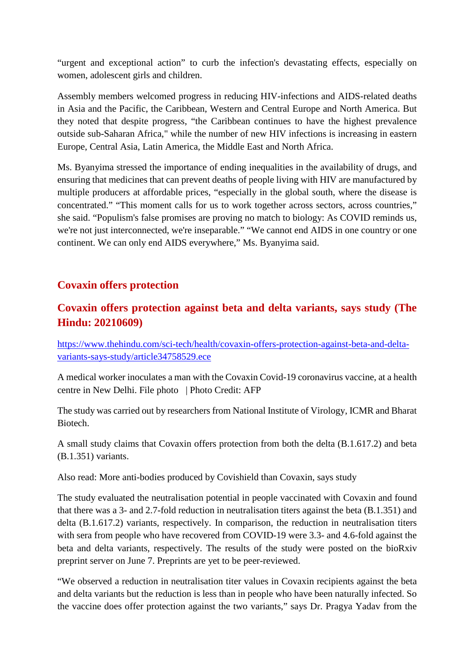"urgent and exceptional action" to curb the infection's devastating effects, especially on women, adolescent girls and children.

Assembly members welcomed progress in reducing HIV-infections and AIDS-related deaths in Asia and the Pacific, the Caribbean, Western and Central Europe and North America. But they noted that despite progress, "the Caribbean continues to have the highest prevalence outside sub-Saharan Africa," while the number of new HIV infections is increasing in eastern Europe, Central Asia, Latin America, the Middle East and North Africa.

Ms. Byanyima stressed the importance of ending inequalities in the availability of drugs, and ensuring that medicines that can prevent deaths of people living with HIV are manufactured by multiple producers at affordable prices, "especially in the global south, where the disease is concentrated." "This moment calls for us to work together across sectors, across countries," she said. "Populism's false promises are proving no match to biology: As COVID reminds us, we're not just interconnected, we're inseparable." "We cannot end AIDS in one country or one continent. We can only end AIDS everywhere," Ms. Byanyima said.

## **Covaxin offers protection**

## **Covaxin offers protection against beta and delta variants, says study (The Hindu: 20210609)**

https://www.thehindu.com/sci-tech/health/covaxin-offers-protection-against-beta-and-deltavariants-says-study/article34758529.ece

A medical worker inoculates a man with the Covaxin Covid-19 coronavirus vaccine, at a health centre in New Delhi. File photo | Photo Credit: AFP

The study was carried out by researchers from National Institute of Virology, ICMR and Bharat Biotech.

A small study claims that Covaxin offers protection from both the delta (B.1.617.2) and beta (B.1.351) variants.

Also read: More anti-bodies produced by Covishield than Covaxin, says study

The study evaluated the neutralisation potential in people vaccinated with Covaxin and found that there was a 3- and 2.7-fold reduction in neutralisation titers against the beta (B.1.351) and delta (B.1.617.2) variants, respectively. In comparison, the reduction in neutralisation titers with sera from people who have recovered from COVID-19 were 3.3- and 4.6-fold against the beta and delta variants, respectively. The results of the study were posted on the bioRxiv preprint server on June 7. Preprints are yet to be peer-reviewed.

"We observed a reduction in neutralisation titer values in Covaxin recipients against the beta and delta variants but the reduction is less than in people who have been naturally infected. So the vaccine does offer protection against the two variants," says Dr. Pragya Yadav from the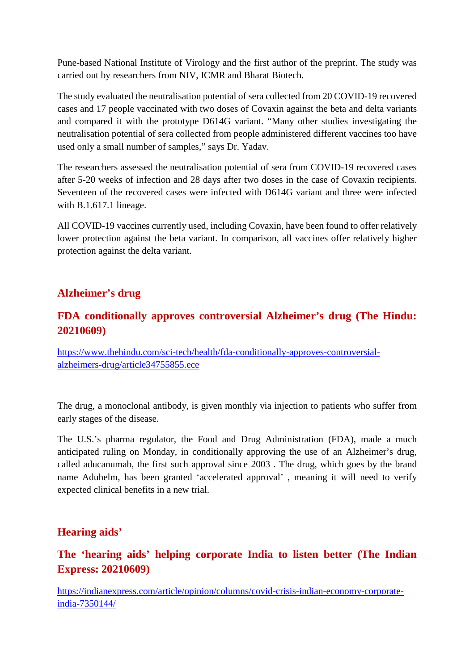Pune-based National Institute of Virology and the first author of the preprint. The study was carried out by researchers from NIV, ICMR and Bharat Biotech.

The study evaluated the neutralisation potential of sera collected from 20 COVID-19 recovered cases and 17 people vaccinated with two doses of Covaxin against the beta and delta variants and compared it with the prototype D614G variant. "Many other studies investigating the neutralisation potential of sera collected from people administered different vaccines too have used only a small number of samples," says Dr. Yadav.

The researchers assessed the neutralisation potential of sera from COVID-19 recovered cases after 5-20 weeks of infection and 28 days after two doses in the case of Covaxin recipients. Seventeen of the recovered cases were infected with D614G variant and three were infected with B.1.617.1 lineage.

All COVID-19 vaccines currently used, including Covaxin, have been found to offer relatively lower protection against the beta variant. In comparison, all vaccines offer relatively higher protection against the delta variant.

## **Alzheimer's drug**

### **FDA conditionally approves controversial Alzheimer's drug (The Hindu: 20210609)**

https://www.thehindu.com/sci-tech/health/fda-conditionally-approves-controversialalzheimers-drug/article34755855.ece

The drug, a monoclonal antibody, is given monthly via injection to patients who suffer from early stages of the disease.

The U.S.'s pharma regulator, the Food and Drug Administration (FDA), made a much anticipated ruling on Monday, in conditionally approving the use of an Alzheimer's drug, called aducanumab, the first such approval since 2003 . The drug, which goes by the brand name Aduhelm, has been granted 'accelerated approval' , meaning it will need to verify expected clinical benefits in a new trial.

#### **Hearing aids'**

## **The 'hearing aids' helping corporate India to listen better (The Indian Express: 20210609)**

https://indianexpress.com/article/opinion/columns/covid-crisis-indian-economy-corporateindia-7350144/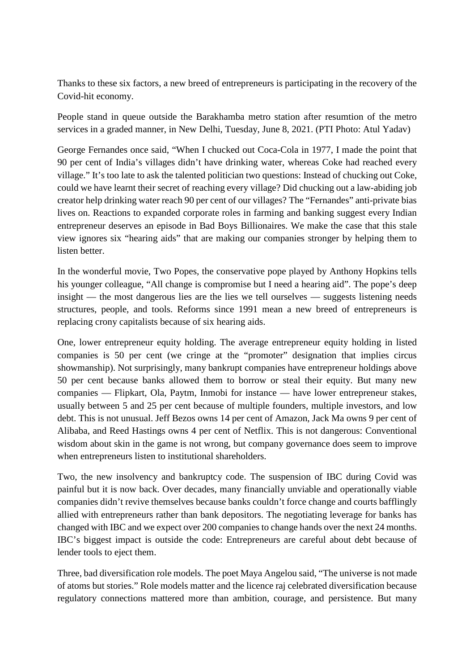Thanks to these six factors, a new breed of entrepreneurs is participating in the recovery of the Covid-hit economy.

People stand in queue outside the Barakhamba metro station after resumtion of the metro services in a graded manner, in New Delhi, Tuesday, June 8, 2021. (PTI Photo: Atul Yadav)

George Fernandes once said, "When I chucked out Coca-Cola in 1977, I made the point that 90 per cent of India's villages didn't have drinking water, whereas Coke had reached every village." It's too late to ask the talented politician two questions: Instead of chucking out Coke, could we have learnt their secret of reaching every village? Did chucking out a law-abiding job creator help drinking water reach 90 per cent of our villages? The "Fernandes" anti-private bias lives on. Reactions to expanded corporate roles in farming and banking suggest every Indian entrepreneur deserves an episode in Bad Boys Billionaires. We make the case that this stale view ignores six "hearing aids" that are making our companies stronger by helping them to listen better.

In the wonderful movie, Two Popes, the conservative pope played by Anthony Hopkins tells his younger colleague, "All change is compromise but I need a hearing aid". The pope's deep insight — the most dangerous lies are the lies we tell ourselves — suggests listening needs structures, people, and tools. Reforms since 1991 mean a new breed of entrepreneurs is replacing crony capitalists because of six hearing aids.

One, lower entrepreneur equity holding. The average entrepreneur equity holding in listed companies is 50 per cent (we cringe at the "promoter" designation that implies circus showmanship). Not surprisingly, many bankrupt companies have entrepreneur holdings above 50 per cent because banks allowed them to borrow or steal their equity. But many new companies — Flipkart, Ola, Paytm, Inmobi for instance — have lower entrepreneur stakes, usually between 5 and 25 per cent because of multiple founders, multiple investors, and low debt. This is not unusual. Jeff Bezos owns 14 per cent of Amazon, Jack Ma owns 9 per cent of Alibaba, and Reed Hastings owns 4 per cent of Netflix. This is not dangerous: Conventional wisdom about skin in the game is not wrong, but company governance does seem to improve when entrepreneurs listen to institutional shareholders.

Two, the new insolvency and bankruptcy code. The suspension of IBC during Covid was painful but it is now back. Over decades, many financially unviable and operationally viable companies didn't revive themselves because banks couldn't force change and courts bafflingly allied with entrepreneurs rather than bank depositors. The negotiating leverage for banks has changed with IBC and we expect over 200 companies to change hands over the next 24 months. IBC's biggest impact is outside the code: Entrepreneurs are careful about debt because of lender tools to eject them.

Three, bad diversification role models. The poet Maya Angelou said, "The universe is not made of atoms but stories." Role models matter and the licence raj celebrated diversification because regulatory connections mattered more than ambition, courage, and persistence. But many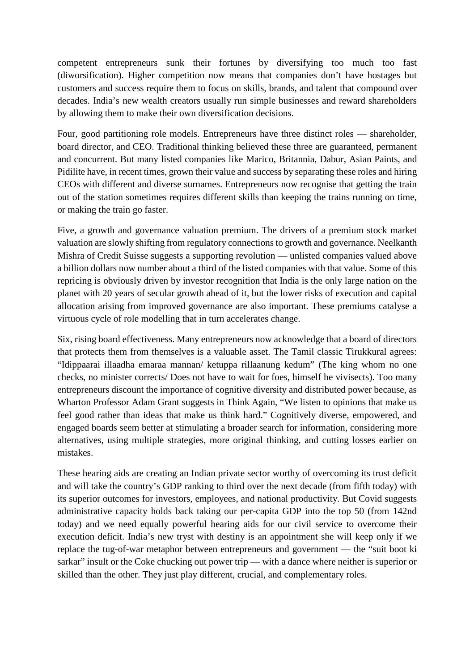competent entrepreneurs sunk their fortunes by diversifying too much too fast (diworsification). Higher competition now means that companies don't have hostages but customers and success require them to focus on skills, brands, and talent that compound over decades. India's new wealth creators usually run simple businesses and reward shareholders by allowing them to make their own diversification decisions.

Four, good partitioning role models. Entrepreneurs have three distinct roles — shareholder, board director, and CEO. Traditional thinking believed these three are guaranteed, permanent and concurrent. But many listed companies like Marico, Britannia, Dabur, Asian Paints, and Pidilite have, in recent times, grown their value and success by separating these roles and hiring CEOs with different and diverse surnames. Entrepreneurs now recognise that getting the train out of the station sometimes requires different skills than keeping the trains running on time, or making the train go faster.

Five, a growth and governance valuation premium. The drivers of a premium stock market valuation are slowly shifting from regulatory connections to growth and governance. Neelkanth Mishra of Credit Suisse suggests a supporting revolution — unlisted companies valued above a billion dollars now number about a third of the listed companies with that value. Some of this repricing is obviously driven by investor recognition that India is the only large nation on the planet with 20 years of secular growth ahead of it, but the lower risks of execution and capital allocation arising from improved governance are also important. These premiums catalyse a virtuous cycle of role modelling that in turn accelerates change.

Six, rising board effectiveness. Many entrepreneurs now acknowledge that a board of directors that protects them from themselves is a valuable asset. The Tamil classic Tirukkural agrees: "Idippaarai illaadha emaraa mannan/ ketuppa rillaanung kedum" (The king whom no one checks, no minister corrects/ Does not have to wait for foes, himself he vivisects). Too many entrepreneurs discount the importance of cognitive diversity and distributed power because, as Wharton Professor Adam Grant suggests in Think Again, "We listen to opinions that make us feel good rather than ideas that make us think hard." Cognitively diverse, empowered, and engaged boards seem better at stimulating a broader search for information, considering more alternatives, using multiple strategies, more original thinking, and cutting losses earlier on mistakes.

These hearing aids are creating an Indian private sector worthy of overcoming its trust deficit and will take the country's GDP ranking to third over the next decade (from fifth today) with its superior outcomes for investors, employees, and national productivity. But Covid suggests administrative capacity holds back taking our per-capita GDP into the top 50 (from 142nd today) and we need equally powerful hearing aids for our civil service to overcome their execution deficit. India's new tryst with destiny is an appointment she will keep only if we replace the tug-of-war metaphor between entrepreneurs and government — the "suit boot ki sarkar" insult or the Coke chucking out power trip — with a dance where neither is superior or skilled than the other. They just play different, crucial, and complementary roles.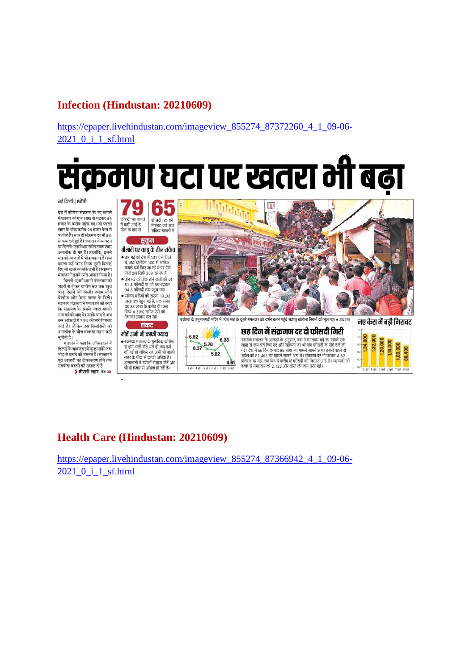#### **Infection (Hindustan: 20210609)**

9

में कमी आई है<br>पीक के बाद से

#### https://epaper.livehindustan.com/imageview\_855274\_87372260\_4\_1\_09-06- 2021\_0\_i\_1\_sf.html

## क्रिमण घटा पर खतरा भी बढ़ा

#### नई दिल्ली | एजेंसी

.<br>देश में कोरोना संक्रमण के नए मामले मंगलवार को एक लाख से घटकर 86 नगरा का एक राज्य सा ककर 50<br>हजार के करीब पहुंच गए। जो पहली ्<br>लहर के पीक करीब 98 हजार केस से<br>भी नीचे है। साथ ही संक्रमण दर भी 5% से कम दर्ज हुई है। लगातार केस घटने पर दिल्ली-एनसीआर समेत तमाम शहर .<br>कारण कई जगह नियम टूटते दिखाई टिप जो खतरे का संकेत भी है। स्वास्थ्य .चेर्, ना खेतरे ना सकत ना इतरकारक<br>मंत्रालय ने इसके प्रति आगाह किया है। दिल्ली-एनसीआर में मंगलवार को

शहरी से लेकर ग्रामीण क्षेत्र तक खूब राज्य देखने को मिली। तमाम लोग<br>बेखौफ और बिना मास्क के दिखे। स्वास्थ्य मंत्रालय ने मंगलवार को कहा कि संक्रमण के सबसे ज्यादा मामले सात मई को आए थे। उसके बाद से अब तक आंकड़ों में 79% की भारी गिरावट आई है। लेकिन इस सिलसिले को अनलॉक के बीच बरकरार रखना बादी चुनौती है। .<br>मंत्रालय ने कहा कि लॉकडाउन में

ढिलाई के बावजूद हमें कुछ महीने तक भीड से बचने की जरूरत है। सरकार ने पाउँ त व व नगर नलता है। तत्कारण<br>पूरी आबादी का टीकाकरण होने तक .<br>सतर्कता बरतने की सलाह दी है। ▶ तीसरी लहर पेज 08

65 图 फीसदी नए मामले फीसदी तक की कारादा राक का<br>गिरावट दर्ज आई<br>सक्रिय मामलों में सुकून बीमारी पर काबू के तीन संकेत • चार मई को देश में 531 ऐसे जिले थे. जहां प्रतिदिन 100 से अधिक प, जहां प्रांतावन 100 से आवक<br>मामले दर्ज किए जा रहे थे पर ऐसे<br>जिले अब सिर्फ 209 रह गए हैं ाः<br>- तीन मई को टीक होने वालों की दर<br>- 81.8 फीसदी था जो अब बढ़कर 94.3 फीसदी तक पहुंच गया • सक्रिय मरीजों की संख्या 13.03 लाइम्ब मराजा का राख्या 13:03<br>लाख तक पहुंच गई है, एक समय<br>यह 38 लाख के करीब थी। अब सिर्फ 4.50% मरीज ऐसे बचे 修 65 जिनका उपचार चल रहा .<br>अयोध्या के हनुमानगढ़ी मंदिर में ज्येष्ठ माह के दूसरे मंगलवार को दर्शन करने पहुंचे श्रद्धालु कोरोना नियमों को भूल गए। • उवेद शर्मा नए केस में बडी गिरावट संकट

#### मौतें अभी भी काफी ज्यादा

• स्वास्थ्य मंत्रालय के मुताबिक कोरोना<br>से होने वाली मौतें भले ही कम दर्ज की गई हों लेकिन यह अभी भी पहली<br>लहर के पीक से काफी अधिक है । अस्पतालों में मरीजों रोजाना मौतें अब भी दो हजार से अधिक हो रही हैं।



#### छह दिन में संक्रमण दर दो फीसदी गिरी

स्वास्थ्य मंत्रालय के आंकड़ों के अनुसार, देश में मंगलवार को नए मामले एक लाख से कम दर्ज किए गए और संक्रमण दर भी पांच फीसदी के नीचे दर्ज की .<br>गईं। देश में 66 दिन के बाद 86,498 नए मामले सामने आए। इससे पहले दो<br>अप्रैल को 81,466 नए मामले सामने आए थे। संक्रमण दर भी घटकर 4,62 प्रतिशत रह गई। छह दिन में करीब दो फीसदी की गिरावट आई है। महामारी की वजह से मंगलवार को 2,123 और लोगों की जान चली गई।



## **Health Care (Hindustan: 20210609)**

https://epaper.livehindustan.com/imageview\_855274\_87366942\_4\_1\_09-06- 2021\_0\_i\_1\_sf.html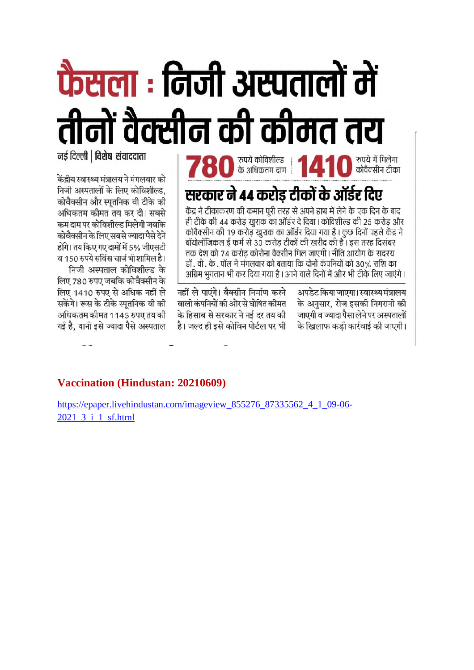# फैसला : निजी अस्पतालों में तीनों वैक्सीन की कीमत तय

730

नई दिल्ली | विशेष संवाददाता

सरकार ने 44 करोड़ टीकों के ऑर्डर दिए केंद्र ने टीकाकरण की कमान पूरी तरह से अपने हाथ में लेने के एक दिन के बाद

रुपये कोविशील्ड

के अधिकतम दाम

ही टीके की 44 करोड़ खुराक का ऑर्डर दे दिया। कोविशील्ड की 25 करोड़ और कोवैक्सीन की 19 करोड़ खुराक का ऑर्डर दिया गया है । कुछ दिनों पहले केंद्र ने<br>बॉयोलॉजिकल ई फर्म से 30 करोड़ टीकों की खरीद की है । इस तरह दिसंबर तक देश को 74 करोड़ कोरोना वैक्सीन मिल जाएगी। नीति आयोग के सदस्य डॉ. वी. के. पॉल ने मंगलवार को बताया कि दोनों कंपनियों को 30% राशि का अग्रिम भूगतान भी कर दिया गया है। आने वाले दिनों में और भी टीके लिए जाएंगे।

> अपडेट किया जाएगा। स्वास्थ्य मंत्रालय के अनुसार, रोज इसकी निगरानी की जाएगी व ज्यादा पैसा लेने पर अस्पतालों के खिलाफ कड़ी कार्रवाई की जाएगी।

रुपये में मिलेगा

कोवैक्सीन टीका

नहीं ले पाएंगे। वैक्सीन निर्माण करने वाली कंपनियों की ओर से घोषित कीमत के हिसाब से सरकार ने नई दर तय की है। जल्द ही इसे कोविन पोर्टल पर भी

केंद्रीय स्वास्थ्य मंत्रालय ने मंगलवार को निजी अस्पतालों के लिए कोविशील्ड. कोवैक्सीन और स्पुतनिक वी टीके की अधिकतम कीमत तय कर दी। सबसे कम दाम पर कोविशील्ड मिलेगी जबकि कोवैक्सीन के लिए सबसे ज्यादा पैसे देने होंगे। तय किए गए दामों में 5% जीएसटी व 150 रुपये सर्विस चार्ज भी शामिल है। निजी अस्पताल कोविशील्ड के लिए 780 रुपए जबकि कोवैक्सीन के

लिए 1410 रुपए से अधिक नहीं ले सकेंगे। रूस के टीके स्पूतनिक वी की अधिकतम कीमत 1145 रुपए तय की गई है, यानी इसे ज्यादा पैसे अस्पताल

## Vaccination (Hindustan: 20210609)

https://epaper.livehindustan.com/imageview 855276 87335562 4 1 09-06-2021\_3\_i\_1\_sf.html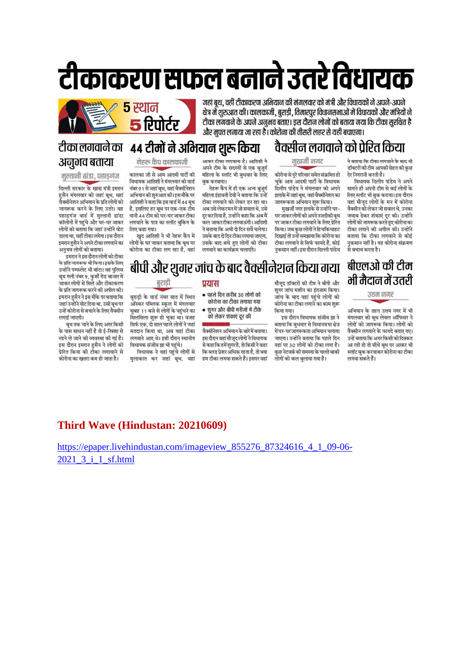## टीकाकरण सफल बनाने उतरे विधायक



जहां बथ. वहीं टीकाकरण अभियान की मंगलवार को मंत्री और विधायकों ने अपने-अपने क्षेत्र में शुरुआत की। कालकाजी, बुराड़ी, तिमारपुर विधानसभाओं में विधायकों और मंत्रियों ने टीका लगवाने के अपने अनुभव बताए। इस दौरान लोगों को बताया गया कि टीका सुरक्षित है और मुफ्त लगाया जा रहा है। कोरोना की तीसरी लहर से यही बचाएगा।

मखर्जी नगर

कोरोना से परे परिवार समेत संक्रमित हो

चुके आम आदमी पार्टी के विधायक

.<br>दिलीप पांडेय ने मंगलवार को अपने

.<br>इलाके में जहां बथ, वहां वैक्सीनेशन का

मखर्जी नगर इलाके से उन्होंने घर-

घर जाकर लोगों को अपने नजदीकी बंध

पर जाकर टीका लगवाने के लिए पेरित

किया। जब कुछ लोगों ने हिचकिचाहट

दिखाई तो उन्हें समझाया कि कोरोना का

टीका लगवाने से सिर्फ फायदे हैं, कोई

नुकसान नहीं। इस दौरान दिल्ली पांडेय

जागरूकता अभियान शरू किया।



दिल्ली सरकार के खाद्य मंत्री इमरान

हसैन मंगलवार को जहां बथ, वहां

.<br>वैक्सीनेशन अभियान के प्रति लोगों को

जागरूक करने के लिए उतरे। वह

पहाडगंज वार्ड में मल्तानी ढांडा

कॉलोनी में पहुंचे और घर-घर जाकर

लोगों को बताया कि जहां उन्होंने वोट

डाला था. वहीं टीका लगेगा। इस दौरान

इमरान हुसैन ने अपने टीका लगवाने का

उन्होंने पम्फलेट भी बांटा। वह पुलिस बूथ गली नंबर 9, कुर्सी रोड बाजार में

.<br>जाकर लोगों से मिले और टीकाकरण

के प्रति जागरूक करने की अपील की।

इमरान हसैन ने इस मौके पर बताया कि

.<br>जहां उन्होंने वोट दिया था, उसी बूथ पर

उन्हें कोरोना से बचाने के लिए वैक्सीन

के पास साधन नहीं है तो ई-खिशा से

लाने ले जाने की व्यवस्था की गई है।

इस दौरान इमरान हुसैन ने लोगों को

.<br>पेरित किया की टीका लगावाने से

कोरोना का खतरा कम हो जाता है।

्<br>बुथ तक जाने के लिए अगर किसी

लगाई जाएगी।

.<br>इमरान ने इस दौरान लोगों को टीका के प्रति जागरूक भी किया। इसके लिए

अनुभव लोगों को बताया।

## वैक्सीन लगवाने को पेरित किया

#### अनुभव बताया नेहरू कैंप कालकाजी मल्तानी ढांडा, पहाडगंज

कालका जी से आम आदमी पार्टी की नंबर 91 से जहां बुथ, वहां वैक्सीनेशन .<br>अभिवान की शुरुआत की। इस मौके पर आतिशी ने कहा कि इस वार्ड में 44 बथ है। दसलिए हर बंध पर एक-एक टीम यानी 44 टीम को घर-घर जाकर टीका लगवाने के पात्र का स्लॉट बुकिंग के लिए कहा गया।

खुद आतिशी ने भी नेहरू कैंप में लोगों के घर जाकर बताया कि बूथ पर कोरोना का टीका लग रहा है. वहां

आकर टीका लगवाना है। आतिशी ने अपने टीम के सदस्यों से एक बुज़ुर्ग महिला के स्लॉट भी बधवार के लिए बुक करवाया।

नेहरू कैंप में ही एक अन्य बज़र्ग .<br>महिला इंद्रावती देवी ने बताया कि उन्हें टीका लगवाने को लेकर डर रहा था। .<br>अब उसे लेकर मन में जो सवाल थे. उसे दूर कर दिया है, उन्होंने कहा कि अब मैं .<br>कल-जाकर टीका लगवाऊंगी । आतिशी .<br>ने बताया कि अभी दो दिन सर्वे चलेगा। उसके बाद दो दिन टीका लगाया जाएगा. उसके बाद बचे हुए लोगों को टीका लगवाने का कार्यक्रम चलाएंगे।

ने बताया कि टीका लगवाने के बाद भी डॉक्टरों की टीम आपकी सेहत की कुछ टेर निगरानी करती है।

विधायक दिलीप पांडेय ने अपने सामने ही अपनी टीम से कई लोगों के लिए स्लॉट भी बुक कराया। इस दौरान वहां मौजद लोगों के मन में कोरोना वैक्सीन को लेकर जो सवाल थे. उनका जवाब देकर शंकाएं दूर की। उन्होंने लोगों को जागरूक करते हुए कोरोना का टीका लगाने की अपील की। उन्होंने बताया कि टीका लगवाने से कोई नुकसान नहीं है। वह कोरोना संक्रमण से बचाव करता है।

## बीपी और शुगर जांच के बाद वैक्सीनेशन किया गया बुराडी

#### प्रयास

बराडी के वार्ड नंबर सात में स्थित ्<br>ऑस्कर पब्लिक स्कूल में मंगलवार सबह 11 बजे से लोगों के पहचने का .<br>सिलसिला शुरू हो चुका था। वजह सिर्फ एक, दो साल पहले लोगों ने जहां मतदान किया था. अब वहां टीका लगवाने आए थे। इसी दौरान स्थानीय विधायक संजीव झा भी पहुंचे।

विधायक ने वहां पहुंचे लोगों से मुलाकात कर जहां बुथ, वहां

- पहले दिन करीब 30 लोगों को कोरोना का टीका लगाया गया
- शुगर और बीपी मरीजों में टीके  $\bullet$ को लेकर शंकाएं दूर की

वैक्सीनेशन अभियान के बारे में बताया। इस दौरान वहां मौजूद लोगों ने विधायक .<br>से कहा कि हमें शुगर है, तो किसी ने कहा कि ब्लड प्रेशर अधिक रहता है, तो क्या हम टीका लगवा सकते हैं। इसपर वहां

.<br>मौजूद डॉक्टरों की टीम ने बीपी और शुगर जांच मशीन का इंतजाम किया। .<br>जांच के बाद वहां पहुंचे लोगों को <u>कोरोना का टीका लगाने का काम शरू</u> किया गया।

इस दौरान विधायक संजीव झा ने बताया कि बधवार से विधानसभा क्षेत्र .<br>में घर-घर जागरूकता अभियान चलाया .<br>जाएगा। उन्होंने बताया कि पहले दिन यहां पर 30 लोगों को टीका लगा है। कछ नेटवर्क की समस्या के चलते बाकी लोगों को कल बलाया गया है।

## बीएलओ की टीम मी मैदान में उतरी

#### उत्तम नगर

अभियान के तहत उत्तम नगर में भी मंगलवार को बृथ लेवल ऑफिसर ने लोगों को जागरूक किया। लोगों को .<br>वैक्सीन लगवाने के फायदे बताए गए। उन्हें बताया कि अगर किसी को टिक्कत आ रही हो तो सीधे बंध पर आकर भी स्लॉट बुक करवाकर कोरोना का टीका लगवा सकते हैं।

## Third Wave (Hindustan: 20210609)

https://epaper.livehindustan.com/imageview 855276 87324616 4 1 09-06- $2021 \cdot 3 \cdot i \cdot 1 \cdot s$ f.html